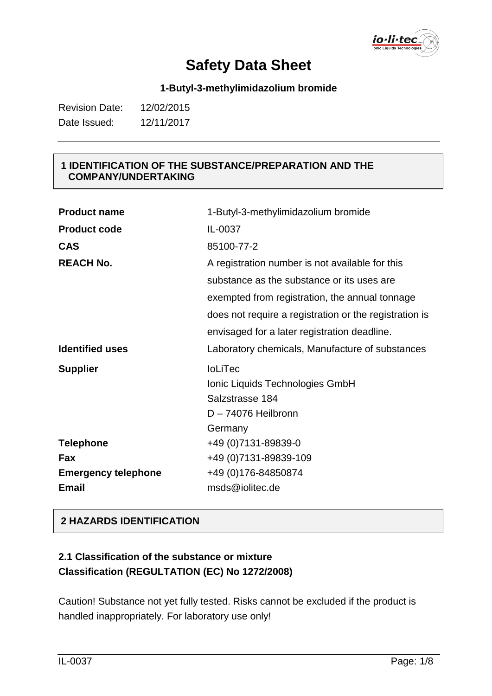io·li·tec

#### **1-Butyl-3-methylimidazolium bromide**

| <b>Revision Date:</b> | 12/02/2015 |
|-----------------------|------------|
| Date Issued:          | 12/11/2017 |

#### **1 IDENTIFICATION OF THE SUBSTANCE/PREPARATION AND THE COMPANY/UNDERTAKING**

| <b>Product name</b>        | 1-Butyl-3-methylimidazolium bromide                    |
|----------------------------|--------------------------------------------------------|
| <b>Product code</b>        | IL-0037                                                |
| <b>CAS</b>                 | 85100-77-2                                             |
| <b>REACH No.</b>           | A registration number is not available for this        |
|                            | substance as the substance or its uses are             |
|                            | exempted from registration, the annual tonnage         |
|                            | does not require a registration or the registration is |
|                            | envisaged for a later registration deadline.           |
| <b>Identified uses</b>     | Laboratory chemicals, Manufacture of substances        |
|                            |                                                        |
| <b>Supplier</b>            | <b>IoLiTec</b>                                         |
|                            | Ionic Liquids Technologies GmbH                        |
|                            | Salzstrasse 184                                        |
|                            | D-74076 Heilbronn                                      |
|                            | Germany                                                |
| <b>Telephone</b>           | +49 (0)7131-89839-0                                    |
| Fax                        | +49 (0) 7131-89839-109                                 |
| <b>Emergency telephone</b> | +49 (0) 176-84850874                                   |

### **2 HAZARDS IDENTIFICATION**

### **2.1 Classification of the substance or mixture Classification (REGULTATION (EC) No 1272/2008)**

Caution! Substance not yet fully tested. Risks cannot be excluded if the product is handled inappropriately. For laboratory use only!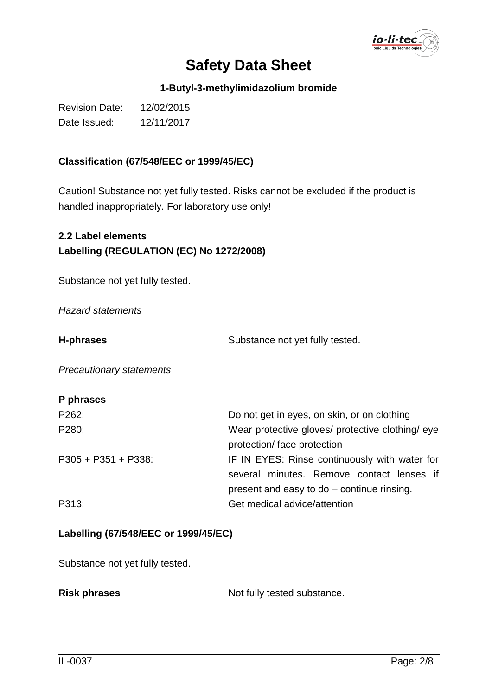io·li·tec

**1-Butyl-3-methylimidazolium bromide**

| <b>Revision Date:</b> | 12/02/2015 |
|-----------------------|------------|
| Date Issued:          | 12/11/2017 |

#### **Classification (67/548/EEC or 1999/45/EC)**

Caution! Substance not yet fully tested. Risks cannot be excluded if the product is handled inappropriately. For laboratory use only!

**2.2 Label elements Labelling (REGULATION (EC) No 1272/2008)**

Substance not yet fully tested.

*Hazard statements*

**H-phrases** Substance not yet fully tested.

*Precautionary statements*

#### **P phrases**

| P262:                | Do not get in eyes, on skin, or on clothing      |  |
|----------------------|--------------------------------------------------|--|
| P280:                | Wear protective gloves/ protective clothing/ eye |  |
|                      | protection/face protection                       |  |
| $P305 + P351 + P338$ | IF IN EYES: Rinse continuously with water for    |  |
|                      | several minutes. Remove contact lenses if        |  |
|                      | present and easy to do – continue rinsing.       |  |
| P313:                | Get medical advice/attention                     |  |

#### **Labelling (67/548/EEC or 1999/45/EC)**

Substance not yet fully tested.

|  | <b>Risk phrases</b> |
|--|---------------------|
|--|---------------------|

Not fully tested substance.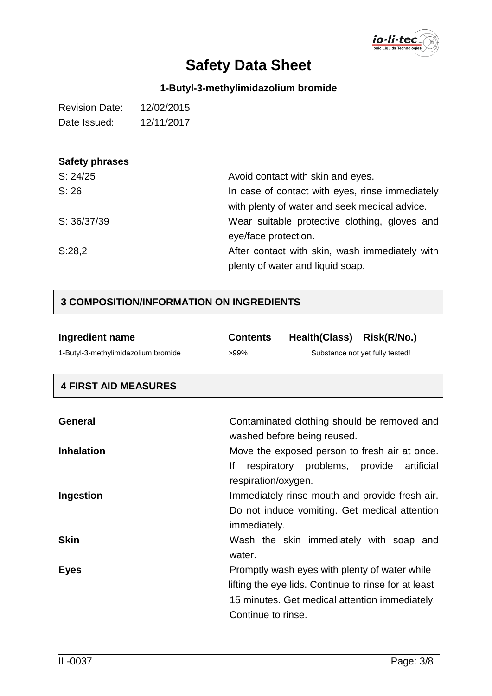

### **1-Butyl-3-methylimidazolium bromide**

| <b>Revision Date:</b> | 12/02/2015 |
|-----------------------|------------|
| Date Issued:          | 12/11/2017 |

### **Safety phrases**

| S: 24/25    | Avoid contact with skin and eyes.                                                                |
|-------------|--------------------------------------------------------------------------------------------------|
| S: 26       | In case of contact with eyes, rinse immediately<br>with plenty of water and seek medical advice. |
| S: 36/37/39 | Wear suitable protective clothing, gloves and                                                    |
|             | eye/face protection.                                                                             |
| S:28,2      | After contact with skin, wash immediately with                                                   |
|             | plenty of water and liquid soap.                                                                 |

### **3 COMPOSITION/INFORMATION ON INGREDIENTS**

| Ingredient name                     | <b>Contents</b>     | Health(Class) Risk(R/No.)                     |                                                      |
|-------------------------------------|---------------------|-----------------------------------------------|------------------------------------------------------|
| 1-Butyl-3-methylimidazolium bromide | >99%                |                                               | Substance not yet fully tested!                      |
| <b>4 FIRST AID MEASURES</b>         |                     |                                               |                                                      |
| General                             |                     | washed before being reused.                   | Contaminated clothing should be removed and          |
| <b>Inhalation</b>                   |                     |                                               | Move the exposed person to fresh air at once.        |
|                                     | lf                  | respiratory problems, provide                 | artificial                                           |
| Ingestion                           | respiration/oxygen. |                                               | Immediately rinse mouth and provide fresh air.       |
|                                     |                     |                                               | Do not induce vomiting. Get medical attention        |
|                                     | immediately.        |                                               |                                                      |
| <b>Skin</b>                         |                     |                                               | Wash the skin immediately with soap and              |
|                                     | water.              |                                               |                                                      |
| <b>Eyes</b>                         |                     | Promptly wash eyes with plenty of water while |                                                      |
|                                     |                     |                                               | lifting the eye lids. Continue to rinse for at least |
|                                     |                     |                                               | 15 minutes. Get medical attention immediately.       |
|                                     | Continue to rinse.  |                                               |                                                      |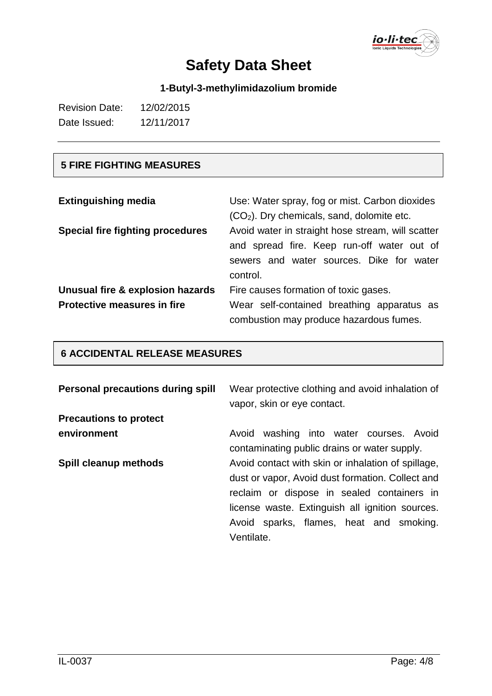io·li·tec

### **1-Butyl-3-methylimidazolium bromide**

| <b>Revision Date:</b> | 12/02/2015 |
|-----------------------|------------|
| Date Issued:          | 12/11/2017 |

### **5 FIRE FIGHTING MEASURES**

| <b>Extinguishing media</b>                                             | Use: Water spray, fog or mist. Carbon dioxides<br>$(CO2)$ . Dry chemicals, sand, dolomite etc.                                                          |
|------------------------------------------------------------------------|---------------------------------------------------------------------------------------------------------------------------------------------------------|
| Special fire fighting procedures                                       | Avoid water in straight hose stream, will scatter<br>and spread fire. Keep run-off water out of<br>sewers and water sources. Dike for water<br>control. |
| Unusual fire & explosion hazards<br><b>Protective measures in fire</b> | Fire causes formation of toxic gases.<br>Wear self-contained breathing apparatus as<br>combustion may produce hazardous fumes.                          |

### **6 ACCIDENTAL RELEASE MEASURES**

| Personal precautions during spill | Wear protective clothing and avoid inhalation of<br>vapor, skin or eye contact.                                                                                                                                                                                  |
|-----------------------------------|------------------------------------------------------------------------------------------------------------------------------------------------------------------------------------------------------------------------------------------------------------------|
| <b>Precautions to protect</b>     |                                                                                                                                                                                                                                                                  |
| environment                       | washing into water courses. Avoid<br>Avoid<br>contaminating public drains or water supply.                                                                                                                                                                       |
| Spill cleanup methods             | Avoid contact with skin or inhalation of spillage,<br>dust or vapor, Avoid dust formation. Collect and<br>reclaim or dispose in sealed containers in<br>license waste. Extinguish all ignition sources.<br>Avoid sparks, flames, heat and smoking.<br>Ventilate. |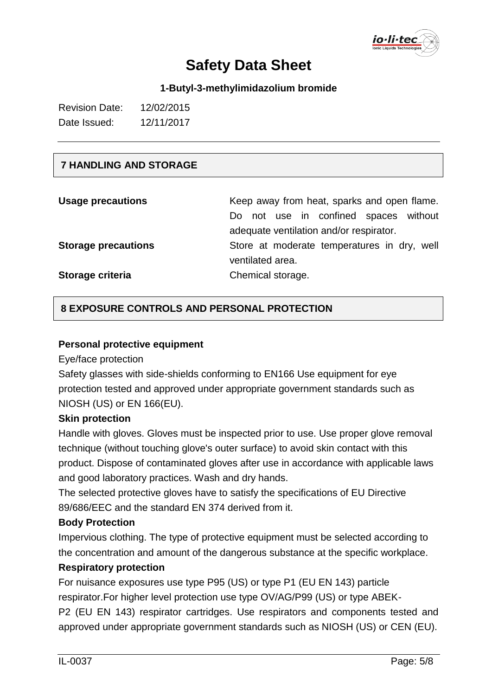

**1-Butyl-3-methylimidazolium bromide**

| <b>Revision Date:</b> | 12/02/2015 |
|-----------------------|------------|
| Date Issued:          | 12/11/2017 |

#### **7 HANDLING AND STORAGE**

| <b>Usage precautions</b>   | Keep away from heat, sparks and open flame. |  |
|----------------------------|---------------------------------------------|--|
|                            | Do not use in confined spaces without       |  |
|                            | adequate ventilation and/or respirator.     |  |
| <b>Storage precautions</b> | Store at moderate temperatures in dry, well |  |
|                            | ventilated area.                            |  |
| Storage criteria           | Chemical storage.                           |  |

#### **8 EXPOSURE CONTROLS AND PERSONAL PROTECTION**

#### **Personal protective equipment**

Eye/face protection

Safety glasses with side-shields conforming to EN166 Use equipment for eye protection tested and approved under appropriate government standards such as NIOSH (US) or EN 166(EU).

#### **Skin protection**

Handle with gloves. Gloves must be inspected prior to use. Use proper glove removal technique (without touching glove's outer surface) to avoid skin contact with this product. Dispose of contaminated gloves after use in accordance with applicable laws and good laboratory practices. Wash and dry hands.

The selected protective gloves have to satisfy the specifications of EU Directive 89/686/EEC and the standard EN 374 derived from it.

#### **Body Protection**

Impervious clothing. The type of protective equipment must be selected according to the concentration and amount of the dangerous substance at the specific workplace.

#### **Respiratory protection**

For nuisance exposures use type P95 (US) or type P1 (EU EN 143) particle respirator.For higher level protection use type OV/AG/P99 (US) or type ABEK-P2 (EU EN 143) respirator cartridges. Use respirators and components tested and approved under appropriate government standards such as NIOSH (US) or CEN (EU).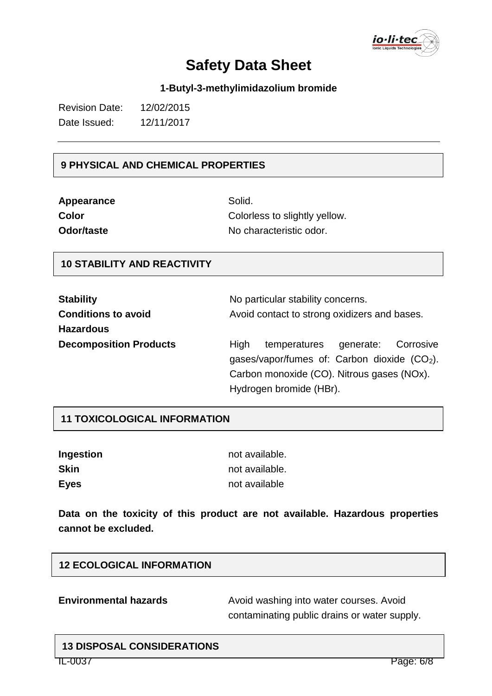io·li·tec

#### **1-Butyl-3-methylimidazolium bromide**

| <b>Revision Date:</b> | 12/02/2015 |
|-----------------------|------------|
| Date Issued:          | 12/11/2017 |

#### **9 PHYSICAL AND CHEMICAL PROPERTIES**

| Appearance |
|------------|
| Color      |
| Odor/taste |

Solid. Colorless to slightly yellow. No characteristic odor.

#### **10 STABILITY AND REACTIVITY**

| <b>Stability</b>              | No particular stability concerns.                                                                |  |  |
|-------------------------------|--------------------------------------------------------------------------------------------------|--|--|
| <b>Conditions to avoid</b>    | Avoid contact to strong oxidizers and bases.                                                     |  |  |
| <b>Hazardous</b>              |                                                                                                  |  |  |
| <b>Decomposition Products</b> | High<br>Corrosive<br>temperatures<br>generate:<br>gases/vapor/fumes of: Carbon dioxide $(CO2)$ . |  |  |
|                               | Carbon monoxide (CO). Nitrous gases (NOx).                                                       |  |  |
|                               | Hydrogen bromide (HBr).                                                                          |  |  |

#### **11 TOXICOLOGICAL INFORMATION**

| Ingestion   | not available. |
|-------------|----------------|
| <b>Skin</b> | not available. |
| <b>Eyes</b> | not available  |

**Data on the toxicity of this product are not available. Hazardous properties cannot be excluded.**

#### **12 ECOLOGICAL INFORMATION**

**Environmental hazards** Avoid washing into water courses. Avoid contaminating public drains or water supply.

### **13 DISPOSAL CONSIDERATIONS**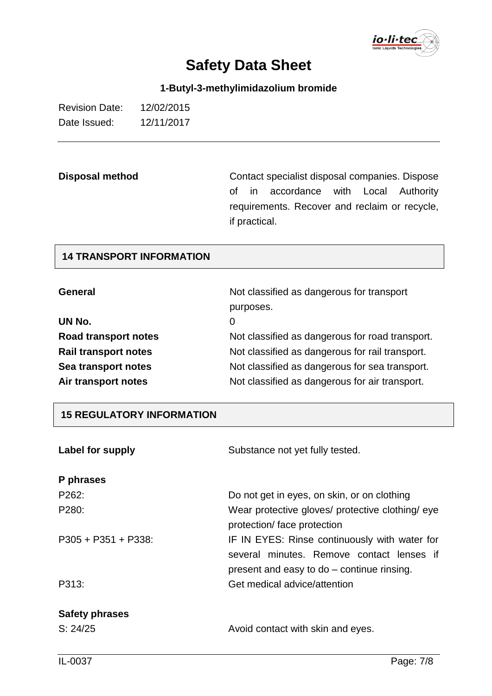

**1-Butyl-3-methylimidazolium bromide**

| <b>Revision Date:</b> | 12/02/2015 |
|-----------------------|------------|
| Date Issued:          | 12/11/2017 |

**Disposal method** Contact specialist disposal companies. Dispose of in accordance with Local Authority requirements. Recover and reclaim or recycle, if practical.

#### **14 TRANSPORT INFORMATION**

| <b>General</b>              | Not classified as dangerous for transport       |  |
|-----------------------------|-------------------------------------------------|--|
|                             | purposes.                                       |  |
| UN No.                      | 0                                               |  |
| Road transport notes        | Not classified as dangerous for road transport. |  |
| <b>Rail transport notes</b> | Not classified as dangerous for rail transport. |  |
| Sea transport notes         | Not classified as dangerous for sea transport.  |  |
| Air transport notes         | Not classified as dangerous for air transport.  |  |

#### **15 REGULATORY INFORMATION**

| Label for supply                  | Substance not yet fully tested.                                                                                                          |  |
|-----------------------------------|------------------------------------------------------------------------------------------------------------------------------------------|--|
| P phrases                         |                                                                                                                                          |  |
| P <sub>262</sub> :                | Do not get in eyes, on skin, or on clothing                                                                                              |  |
| P280:                             | Wear protective gloves/ protective clothing/ eye<br>protection/face protection                                                           |  |
| $P305 + P351 + P338$              | IF IN EYES: Rinse continuously with water for<br>several minutes. Remove contact lenses if<br>present and easy to do – continue rinsing. |  |
| P313:                             | Get medical advice/attention                                                                                                             |  |
| <b>Safety phrases</b><br>S: 24/25 | Avoid contact with skin and eyes.                                                                                                        |  |
|                                   |                                                                                                                                          |  |